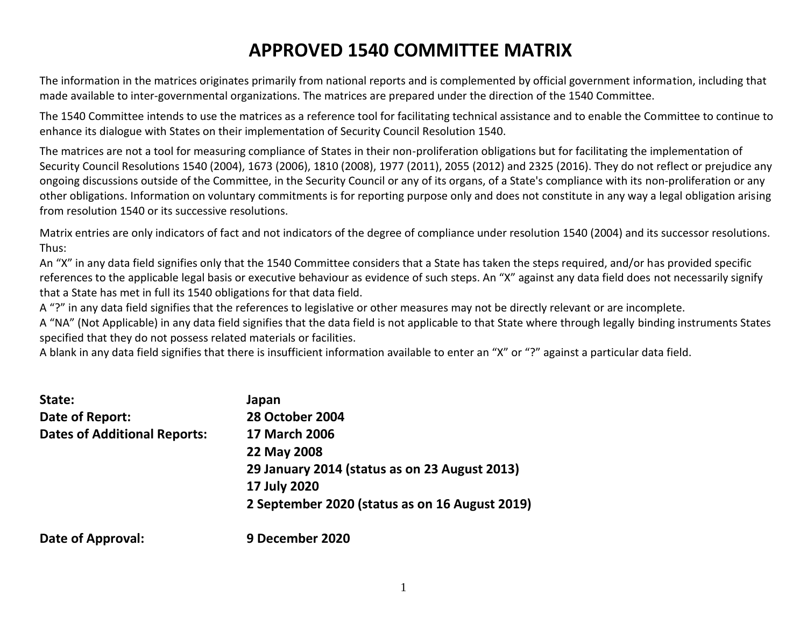## **APPROVED 1540 COMMITTEE MATRIX**

The information in the matrices originates primarily from national reports and is complemented by official government information, including that made available to inter-governmental organizations. The matrices are prepared under the direction of the 1540 Committee.

The 1540 Committee intends to use the matrices as a reference tool for facilitating technical assistance and to enable the Committee to continue to enhance its dialogue with States on their implementation of Security Council Resolution 1540.

The matrices are not a tool for measuring compliance of States in their non-proliferation obligations but for facilitating the implementation of Security Council Resolutions 1540 (2004), 1673 (2006), 1810 (2008), 1977 (2011), 2055 (2012) and 2325 (2016). They do not reflect or prejudice any ongoing discussions outside of the Committee, in the Security Council or any of its organs, of a State's compliance with its non-proliferation or any other obligations. Information on voluntary commitments is for reporting purpose only and does not constitute in any way a legal obligation arising from resolution 1540 or its successive resolutions.

Matrix entries are only indicators of fact and not indicators of the degree of compliance under resolution 1540 (2004) and its successor resolutions. Thus:

An "X" in any data field signifies only that the 1540 Committee considers that a State has taken the steps required, and/or has provided specific references to the applicable legal basis or executive behaviour as evidence of such steps. An "X" against any data field does not necessarily signify that a State has met in full its 1540 obligations for that data field.

A "?" in any data field signifies that the references to legislative or other measures may not be directly relevant or are incomplete.

A "NA" (Not Applicable) in any data field signifies that the data field is not applicable to that State where through legally binding instruments States specified that they do not possess related materials or facilities.

A blank in any data field signifies that there is insufficient information available to enter an "X" or "?" against a particular data field.

| State:                              | Japan                                          |
|-------------------------------------|------------------------------------------------|
| Date of Report:                     | <b>28 October 2004</b>                         |
| <b>Dates of Additional Reports:</b> | <b>17 March 2006</b>                           |
|                                     | 22 May 2008                                    |
|                                     | 29 January 2014 (status as on 23 August 2013)  |
|                                     | 17 July 2020                                   |
|                                     | 2 September 2020 (status as on 16 August 2019) |
| <b>Date of Approval:</b>            | 9 December 2020                                |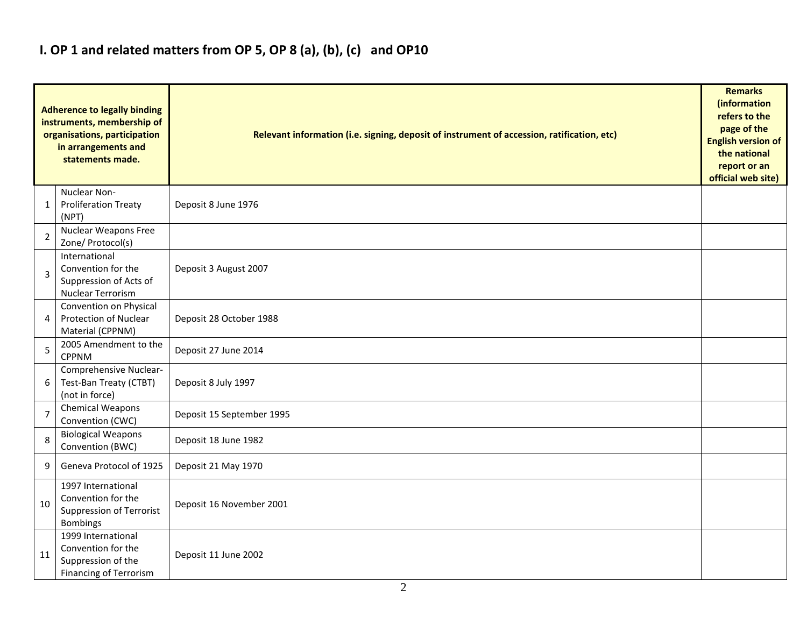### **I. OP 1 and related matters from OP 5, OP 8 (a), (b), (c) and OP10**

|                | <b>Adherence to legally binding</b><br>instruments, membership of<br>organisations, participation<br>in arrangements and<br>statements made. | Relevant information (i.e. signing, deposit of instrument of accession, ratification, etc) |  |  |  |  |  |  |  |  |
|----------------|----------------------------------------------------------------------------------------------------------------------------------------------|--------------------------------------------------------------------------------------------|--|--|--|--|--|--|--|--|
| 1              | Nuclear Non-<br><b>Proliferation Treaty</b><br>(NPT)                                                                                         | Deposit 8 June 1976                                                                        |  |  |  |  |  |  |  |  |
| $\overline{2}$ | Nuclear Weapons Free<br>Zone/ Protocol(s)                                                                                                    |                                                                                            |  |  |  |  |  |  |  |  |
| 3              | International<br>Convention for the<br>Suppression of Acts of<br>Nuclear Terrorism                                                           | Deposit 3 August 2007                                                                      |  |  |  |  |  |  |  |  |
| 4              | Convention on Physical<br>Protection of Nuclear<br>Material (CPPNM)                                                                          | Deposit 28 October 1988                                                                    |  |  |  |  |  |  |  |  |
| 5              | 2005 Amendment to the<br><b>CPPNM</b>                                                                                                        | Deposit 27 June 2014                                                                       |  |  |  |  |  |  |  |  |
| 6              | Comprehensive Nuclear-<br>Test-Ban Treaty (CTBT)<br>(not in force)                                                                           | Deposit 8 July 1997                                                                        |  |  |  |  |  |  |  |  |
| $\overline{7}$ | Chemical Weapons<br>Convention (CWC)                                                                                                         | Deposit 15 September 1995                                                                  |  |  |  |  |  |  |  |  |
| 8              | <b>Biological Weapons</b><br>Convention (BWC)                                                                                                | Deposit 18 June 1982                                                                       |  |  |  |  |  |  |  |  |
| 9              | Geneva Protocol of 1925                                                                                                                      | Deposit 21 May 1970                                                                        |  |  |  |  |  |  |  |  |
| 10             | 1997 International<br>Convention for the<br>Suppression of Terrorist<br>Bombings                                                             | Deposit 16 November 2001                                                                   |  |  |  |  |  |  |  |  |
| 11             | 1999 International<br>Convention for the<br>Suppression of the<br><b>Financing of Terrorism</b>                                              | Deposit 11 June 2002                                                                       |  |  |  |  |  |  |  |  |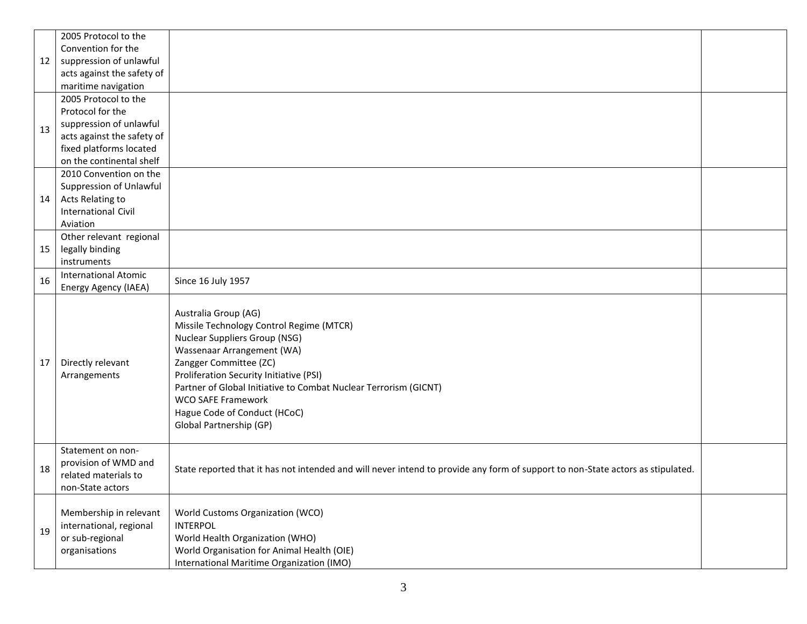| 12 | 2005 Protocol to the<br>Convention for the<br>suppression of unlawful<br>acts against the safety of<br>maritime navigation                               |                                                                                                                                                                                                                                                                                                                                                                         |  |
|----|----------------------------------------------------------------------------------------------------------------------------------------------------------|-------------------------------------------------------------------------------------------------------------------------------------------------------------------------------------------------------------------------------------------------------------------------------------------------------------------------------------------------------------------------|--|
| 13 | 2005 Protocol to the<br>Protocol for the<br>suppression of unlawful<br>acts against the safety of<br>fixed platforms located<br>on the continental shelf |                                                                                                                                                                                                                                                                                                                                                                         |  |
| 14 | 2010 Convention on the<br>Suppression of Unlawful<br>Acts Relating to<br><b>International Civil</b><br>Aviation                                          |                                                                                                                                                                                                                                                                                                                                                                         |  |
| 15 | Other relevant regional<br>legally binding<br>instruments                                                                                                |                                                                                                                                                                                                                                                                                                                                                                         |  |
| 16 | <b>International Atomic</b><br>Energy Agency (IAEA)                                                                                                      | Since 16 July 1957                                                                                                                                                                                                                                                                                                                                                      |  |
| 17 | Directly relevant<br>Arrangements                                                                                                                        | Australia Group (AG)<br>Missile Technology Control Regime (MTCR)<br><b>Nuclear Suppliers Group (NSG)</b><br>Wassenaar Arrangement (WA)<br>Zangger Committee (ZC)<br>Proliferation Security Initiative (PSI)<br>Partner of Global Initiative to Combat Nuclear Terrorism (GICNT)<br><b>WCO SAFE Framework</b><br>Hague Code of Conduct (HCoC)<br>Global Partnership (GP) |  |
| 18 | Statement on non-<br>provision of WMD and<br>related materials to<br>non-State actors                                                                    | State reported that it has not intended and will never intend to provide any form of support to non-State actors as stipulated.                                                                                                                                                                                                                                         |  |
| 19 | Membership in relevant<br>international, regional<br>or sub-regional<br>organisations                                                                    | World Customs Organization (WCO)<br><b>INTERPOL</b><br>World Health Organization (WHO)<br>World Organisation for Animal Health (OIE)<br>International Maritime Organization (IMO)                                                                                                                                                                                       |  |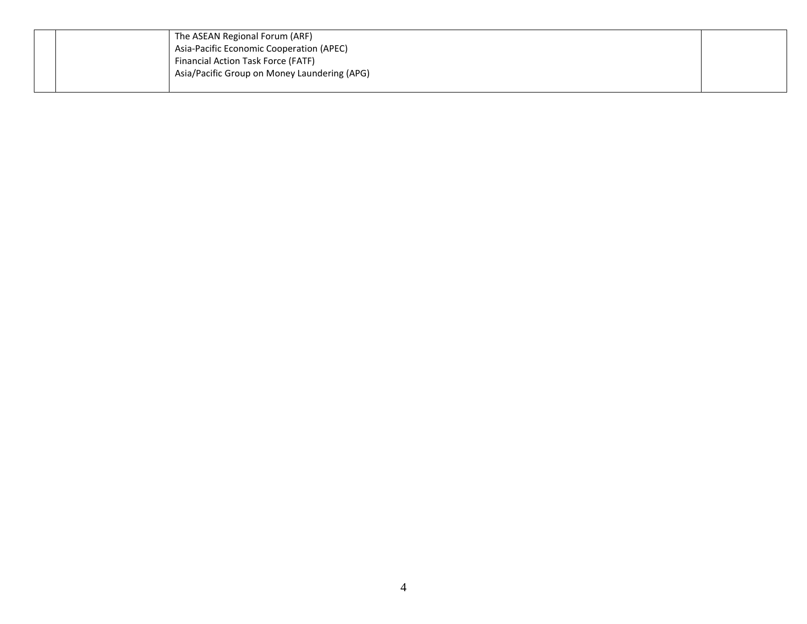|  | The ASEAN Regional Forum (ARF)               |  |
|--|----------------------------------------------|--|
|  | Asia-Pacific Economic Cooperation (APEC)     |  |
|  | Financial Action Task Force (FATF)           |  |
|  | Asia/Pacific Group on Money Laundering (APG) |  |
|  |                                              |  |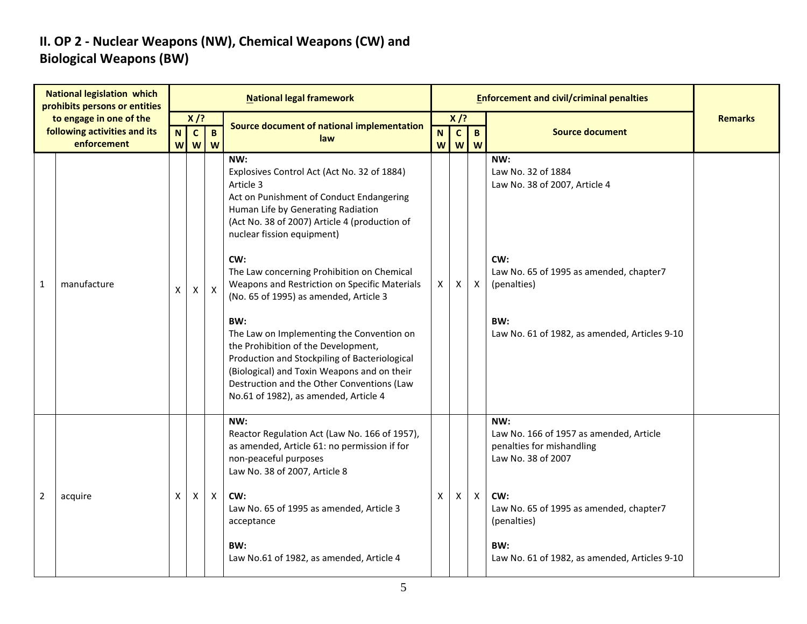#### **II. OP 2 - Nuclear Weapons (NW), Chemical Weapons (CW) and Biological Weapons (BW)**

|                | <b>National legislation which</b><br>prohibits persons or entities     |        |                             |                   | <b>National legal framework</b>                                                                                                                                                                                                                                                                                                                                                                                                                                                                                                                                                                                                                                    |                             |                             |                           | <b>Enforcement and civil/criminal penalties</b>                                                                                                                                                                            |                |
|----------------|------------------------------------------------------------------------|--------|-----------------------------|-------------------|--------------------------------------------------------------------------------------------------------------------------------------------------------------------------------------------------------------------------------------------------------------------------------------------------------------------------------------------------------------------------------------------------------------------------------------------------------------------------------------------------------------------------------------------------------------------------------------------------------------------------------------------------------------------|-----------------------------|-----------------------------|---------------------------|----------------------------------------------------------------------------------------------------------------------------------------------------------------------------------------------------------------------------|----------------|
|                | to engage in one of the<br>following activities and its<br>enforcement | N<br>W | $X$ /?<br>$\mathbf{C}$<br>W | $\mathbf{B}$<br>W | Source document of national implementation<br>law                                                                                                                                                                                                                                                                                                                                                                                                                                                                                                                                                                                                                  | $\mathbf N$<br>$\mathsf{W}$ | $X$ /?<br>$\mathbf{C}$<br>W | $\overline{B}$<br>W       | <b>Source document</b>                                                                                                                                                                                                     | <b>Remarks</b> |
| 1              | manufacture                                                            | X      | Χ                           | $\mathsf{X}$      | NW:<br>Explosives Control Act (Act No. 32 of 1884)<br>Article 3<br>Act on Punishment of Conduct Endangering<br>Human Life by Generating Radiation<br>(Act No. 38 of 2007) Article 4 (production of<br>nuclear fission equipment)<br>CW:<br>The Law concerning Prohibition on Chemical<br>Weapons and Restriction on Specific Materials<br>(No. 65 of 1995) as amended, Article 3<br>BW:<br>The Law on Implementing the Convention on<br>the Prohibition of the Development,<br>Production and Stockpiling of Bacteriological<br>(Biological) and Toxin Weapons and on their<br>Destruction and the Other Conventions (Law<br>No.61 of 1982), as amended, Article 4 | $\mathsf{X}$                | X.                          | $\boldsymbol{\mathsf{X}}$ | NW:<br>Law No. 32 of 1884<br>Law No. 38 of 2007, Article 4<br>CW:<br>Law No. 65 of 1995 as amended, chapter7<br>(penalties)<br>BW:<br>Law No. 61 of 1982, as amended, Articles 9-10                                        |                |
| $\overline{2}$ | acquire                                                                | X      | Χ                           | $\mathsf{X}$      | NW:<br>Reactor Regulation Act (Law No. 166 of 1957),<br>as amended, Article 61: no permission if for<br>non-peaceful purposes<br>Law No. 38 of 2007, Article 8<br>CW:<br>Law No. 65 of 1995 as amended, Article 3<br>acceptance<br>BW:<br>Law No.61 of 1982, as amended, Article 4                                                                                                                                                                                                                                                                                                                                                                                 | X                           | X                           | $\boldsymbol{\mathsf{X}}$ | NW:<br>Law No. 166 of 1957 as amended, Article<br>penalties for mishandling<br>Law No. 38 of 2007<br>CW:<br>Law No. 65 of 1995 as amended, chapter7<br>(penalties)<br>BW:<br>Law No. 61 of 1982, as amended, Articles 9-10 |                |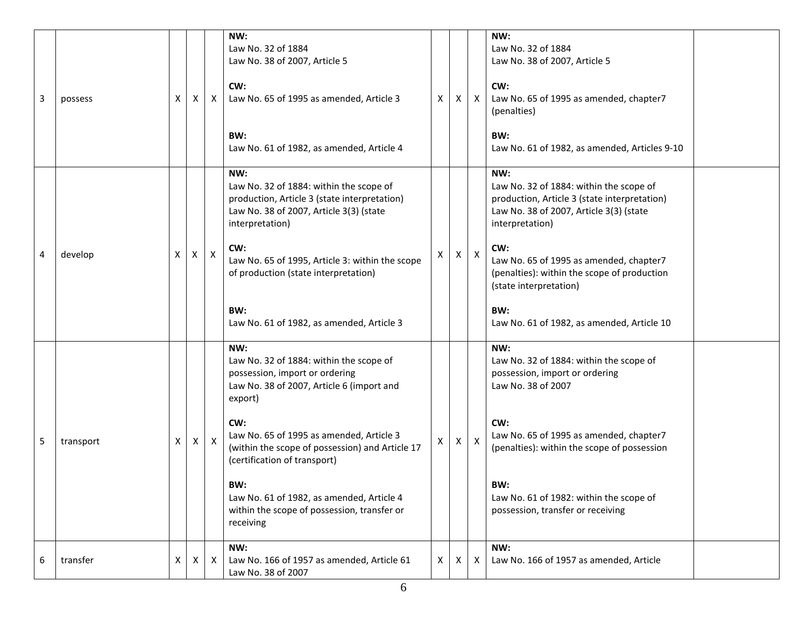| 3 | possess   | Χ | Χ | X            | NW:<br>Law No. 32 of 1884<br>Law No. 38 of 2007, Article 5<br>CW:<br>Law No. 65 of 1995 as amended, Article 3<br>BW:<br>Law No. 61 of 1982, as amended, Article 4                                                                                                                                                                                                                              | X            | X | $\mathsf{X}$              | NW:<br>Law No. 32 of 1884<br>Law No. 38 of 2007, Article 5<br>CW:<br>Law No. 65 of 1995 as amended, chapter7<br>(penalties)<br>BW:<br>Law No. 61 of 1982, as amended, Articles 9-10                                                                                                                                                          |  |
|---|-----------|---|---|--------------|------------------------------------------------------------------------------------------------------------------------------------------------------------------------------------------------------------------------------------------------------------------------------------------------------------------------------------------------------------------------------------------------|--------------|---|---------------------------|----------------------------------------------------------------------------------------------------------------------------------------------------------------------------------------------------------------------------------------------------------------------------------------------------------------------------------------------|--|
| 4 | develop   | X | Χ | $\mathsf{X}$ | NW:<br>Law No. 32 of 1884: within the scope of<br>production, Article 3 (state interpretation)<br>Law No. 38 of 2007, Article 3(3) (state<br>interpretation)<br>CW:<br>Law No. 65 of 1995, Article 3: within the scope<br>of production (state interpretation)<br>BW:<br>Law No. 61 of 1982, as amended, Article 3                                                                             | Χ            | X | $\boldsymbol{\mathsf{X}}$ | NW:<br>Law No. 32 of 1884: within the scope of<br>production, Article 3 (state interpretation)<br>Law No. 38 of 2007, Article 3(3) (state<br>interpretation)<br>CW:<br>Law No. 65 of 1995 as amended, chapter7<br>(penalties): within the scope of production<br>(state interpretation)<br>BW:<br>Law No. 61 of 1982, as amended, Article 10 |  |
| 5 | transport | Χ | Χ | $\mathsf{X}$ | NW:<br>Law No. 32 of 1884: within the scope of<br>possession, import or ordering<br>Law No. 38 of 2007, Article 6 (import and<br>export)<br>CW:<br>Law No. 65 of 1995 as amended, Article 3<br>(within the scope of possession) and Article 17<br>(certification of transport)<br>BW:<br>Law No. 61 of 1982, as amended, Article 4<br>within the scope of possession, transfer or<br>receiving | $\mathsf{X}$ | X | $\mathsf{X}$              | NW:<br>Law No. 32 of 1884: within the scope of<br>possession, import or ordering<br>Law No. 38 of 2007<br>CW:<br>Law No. 65 of 1995 as amended, chapter7<br>(penalties): within the scope of possession<br>BW:<br>Law No. 61 of 1982: within the scope of<br>possession, transfer or receiving                                               |  |
| 6 | transfer  | X | X | X            | NW:<br>Law No. 166 of 1957 as amended, Article 61<br>Law No. 38 of 2007                                                                                                                                                                                                                                                                                                                        | X            | X | Χ                         | NW:<br>Law No. 166 of 1957 as amended, Article                                                                                                                                                                                                                                                                                               |  |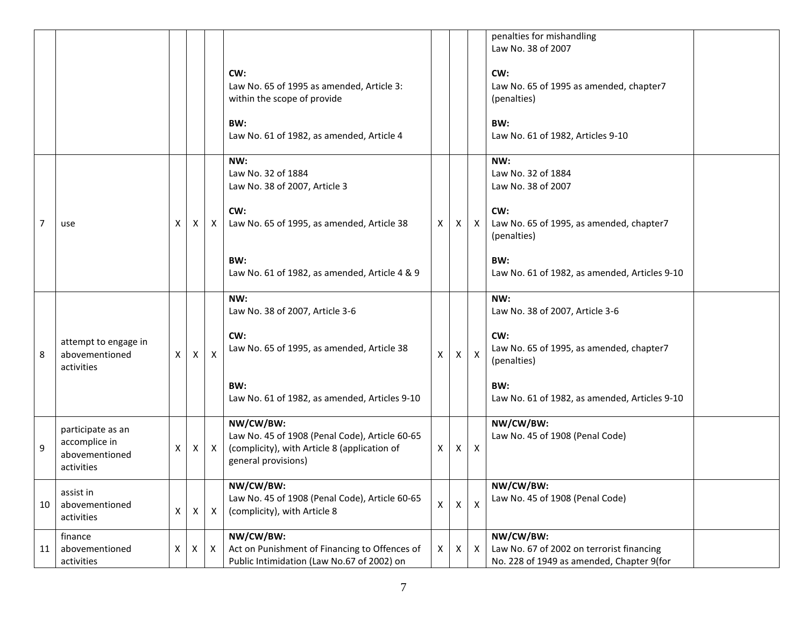|    |                                                                    |    |              |              |                                                                                                                                     |              |   |                           | penalties for mishandling<br>Law No. 38 of 2007                                                           |  |
|----|--------------------------------------------------------------------|----|--------------|--------------|-------------------------------------------------------------------------------------------------------------------------------------|--------------|---|---------------------------|-----------------------------------------------------------------------------------------------------------|--|
|    |                                                                    |    |              |              | CW:<br>Law No. 65 of 1995 as amended, Article 3:<br>within the scope of provide<br>BW:<br>Law No. 61 of 1982, as amended, Article 4 |              |   |                           | CW:<br>Law No. 65 of 1995 as amended, chapter7<br>(penalties)<br>BW:<br>Law No. 61 of 1982, Articles 9-10 |  |
|    |                                                                    |    |              |              | NW:                                                                                                                                 |              |   |                           | NW:                                                                                                       |  |
|    |                                                                    |    |              |              | Law No. 32 of 1884<br>Law No. 38 of 2007, Article 3                                                                                 |              |   |                           | Law No. 32 of 1884<br>Law No. 38 of 2007                                                                  |  |
| 7  | use                                                                | X  | ΧI           | $\mathsf{X}$ | CW:<br>Law No. 65 of 1995, as amended, Article 38                                                                                   | X            | X | $\mathsf{X}$              | CW:<br>Law No. 65 of 1995, as amended, chapter7<br>(penalties)                                            |  |
|    |                                                                    |    |              |              | BW:<br>Law No. 61 of 1982, as amended, Article 4 & 9                                                                                |              |   |                           | BW:<br>Law No. 61 of 1982, as amended, Articles 9-10                                                      |  |
|    |                                                                    |    |              |              | NW:<br>Law No. 38 of 2007, Article 3-6                                                                                              |              |   |                           | NW:<br>Law No. 38 of 2007, Article 3-6                                                                    |  |
| 8  | attempt to engage in<br>abovementioned<br>activities               | X. | $\mathsf{X}$ | X            | CW:<br>Law No. 65 of 1995, as amended, Article 38                                                                                   | X            | Χ | $\boldsymbol{\mathsf{X}}$ | CW:<br>Law No. 65 of 1995, as amended, chapter7<br>(penalties)                                            |  |
|    |                                                                    |    |              |              | BW:<br>Law No. 61 of 1982, as amended, Articles 9-10                                                                                |              |   |                           | BW:<br>Law No. 61 of 1982, as amended, Articles 9-10                                                      |  |
| 9  | participate as an<br>accomplice in<br>abovementioned<br>activities | X  | $\times$     | $\mathsf{X}$ | NW/CW/BW:<br>Law No. 45 of 1908 (Penal Code), Article 60-65<br>(complicity), with Article 8 (application of<br>general provisions)  | $\mathsf{X}$ | X | $\mathsf{X}$              | NW/CW/BW:<br>Law No. 45 of 1908 (Penal Code)                                                              |  |
| 10 | assist in<br>abovementioned<br>activities                          | Χ  | X            | X            | NW/CW/BW:<br>Law No. 45 of 1908 (Penal Code), Article 60-65<br>(complicity), with Article 8                                         | $\mathsf{X}$ | X | $\pmb{\times}$            | NW/CW/BW:<br>Law No. 45 of 1908 (Penal Code)                                                              |  |
| 11 | finance<br>abovementioned                                          | Χ  | X            | $\mathsf{X}$ | NW/CW/BW:<br>Act on Punishment of Financing to Offences of                                                                          | X            | х | $\mathsf{X}$              | NW/CW/BW:<br>Law No. 67 of 2002 on terrorist financing                                                    |  |
|    | activities                                                         |    |              |              | Public Intimidation (Law No.67 of 2002) on                                                                                          |              |   |                           | No. 228 of 1949 as amended, Chapter 9(for                                                                 |  |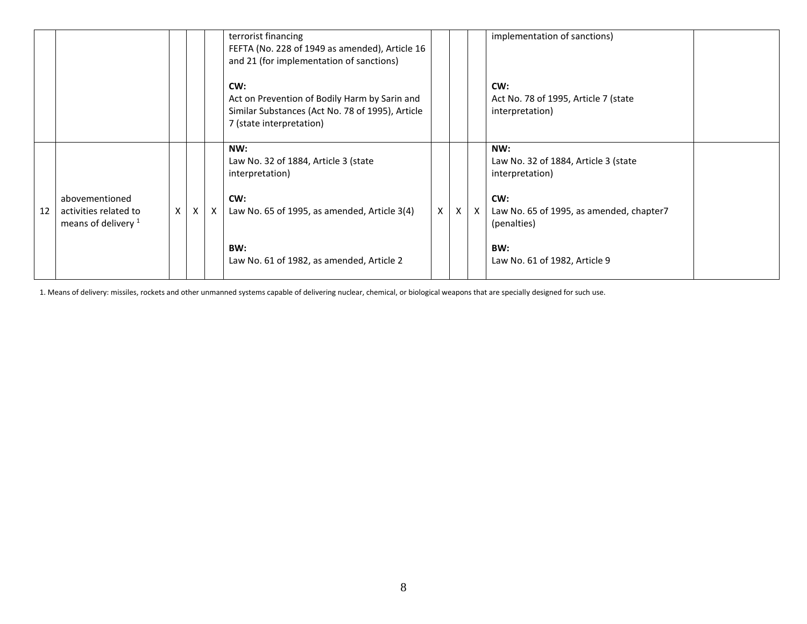|                                                                        |              |              |              | terrorist financing<br>FEFTA (No. 228 of 1949 as amended), Article 16<br>and 21 (for implementation of sanctions)<br>CW:<br>Act on Prevention of Bodily Harm by Sarin and<br>Similar Substances (Act No. 78 of 1995), Article<br>7 (state interpretation) |   |   |              | implementation of sanctions)<br>CW:<br>Act No. 78 of 1995, Article 7 (state<br>interpretation)                                                                           |  |
|------------------------------------------------------------------------|--------------|--------------|--------------|-----------------------------------------------------------------------------------------------------------------------------------------------------------------------------------------------------------------------------------------------------------|---|---|--------------|--------------------------------------------------------------------------------------------------------------------------------------------------------------------------|--|
| abovementioned<br>12<br>activities related to<br>means of delivery $1$ | $\mathsf{X}$ | $\mathsf{X}$ | $\mathsf{X}$ | NW:<br>Law No. 32 of 1884, Article 3 (state<br>interpretation)<br>CW:<br>Law No. 65 of 1995, as amended, Article 3(4)<br>BW:<br>Law No. 61 of 1982, as amended, Article 2                                                                                 | X | X | $\mathsf{X}$ | NW:<br>Law No. 32 of 1884, Article 3 (state<br>interpretation)<br>CW:<br>Law No. 65 of 1995, as amended, chapter7<br>(penalties)<br>BW:<br>Law No. 61 of 1982, Article 9 |  |

1. Means of delivery: missiles, rockets and other unmanned systems capable of delivering nuclear, chemical, or biological weapons that are specially designed for such use.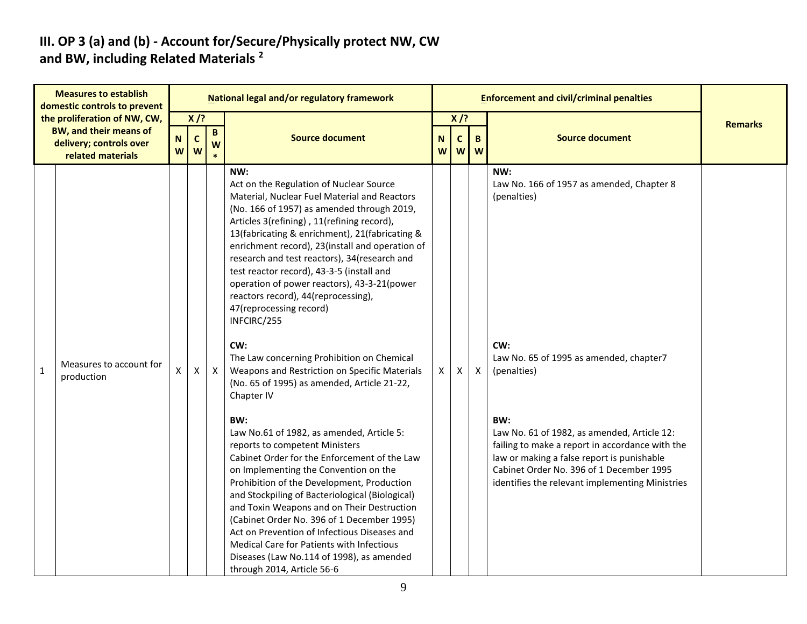#### **III. OP 3 (a) and (b) - Account for/Secure/Physically protect NW, CW and BW, including Related Materials <sup>2</sup>**

|              | <b>Measures to establish</b><br>domestic controls to prevent                  |        |                    |              | National legal and/or regulatory framework                                                                                                                                                                                                                                                                                                                                                                                                                                                                                                                                                                                                                                                                                                                                                                                                                                                                                                                                                                                                                                                                                                                                                                                                          |        |                   |              | <b>Enforcement and civil/criminal penalties</b>                                                                                                                                                                                                                                                                                                                                        |                |
|--------------|-------------------------------------------------------------------------------|--------|--------------------|--------------|-----------------------------------------------------------------------------------------------------------------------------------------------------------------------------------------------------------------------------------------------------------------------------------------------------------------------------------------------------------------------------------------------------------------------------------------------------------------------------------------------------------------------------------------------------------------------------------------------------------------------------------------------------------------------------------------------------------------------------------------------------------------------------------------------------------------------------------------------------------------------------------------------------------------------------------------------------------------------------------------------------------------------------------------------------------------------------------------------------------------------------------------------------------------------------------------------------------------------------------------------------|--------|-------------------|--------------|----------------------------------------------------------------------------------------------------------------------------------------------------------------------------------------------------------------------------------------------------------------------------------------------------------------------------------------------------------------------------------------|----------------|
|              | the proliferation of NW, CW,                                                  |        | $X$ /?             |              |                                                                                                                                                                                                                                                                                                                                                                                                                                                                                                                                                                                                                                                                                                                                                                                                                                                                                                                                                                                                                                                                                                                                                                                                                                                     |        | $X$ /?            |              |                                                                                                                                                                                                                                                                                                                                                                                        | <b>Remarks</b> |
|              | <b>BW, and their means of</b><br>delivery; controls over<br>related materials | N<br>W | $\mathbf{C}$<br>W  | B<br>W       | <b>Source document</b>                                                                                                                                                                                                                                                                                                                                                                                                                                                                                                                                                                                                                                                                                                                                                                                                                                                                                                                                                                                                                                                                                                                                                                                                                              | N<br>W | $\mathbf{C}$<br>W | B<br>W       | <b>Source document</b>                                                                                                                                                                                                                                                                                                                                                                 |                |
| $\mathbf{1}$ | Measures to account for<br>production                                         | X      | $\pmb{\mathsf{X}}$ | $\mathsf{X}$ | NW:<br>Act on the Regulation of Nuclear Source<br>Material, Nuclear Fuel Material and Reactors<br>(No. 166 of 1957) as amended through 2019,<br>Articles 3(refining), 11(refining record),<br>13(fabricating & enrichment), 21(fabricating &<br>enrichment record), 23(install and operation of<br>research and test reactors), 34(research and<br>test reactor record), 43-3-5 (install and<br>operation of power reactors), 43-3-21(power<br>reactors record), 44(reprocessing),<br>47(reprocessing record)<br>INFCIRC/255<br>CW:<br>The Law concerning Prohibition on Chemical<br>Weapons and Restriction on Specific Materials<br>(No. 65 of 1995) as amended, Article 21-22,<br>Chapter IV<br>BW:<br>Law No.61 of 1982, as amended, Article 5:<br>reports to competent Ministers<br>Cabinet Order for the Enforcement of the Law<br>on Implementing the Convention on the<br>Prohibition of the Development, Production<br>and Stockpiling of Bacteriological (Biological)<br>and Toxin Weapons and on Their Destruction<br>(Cabinet Order No. 396 of 1 December 1995)<br>Act on Prevention of Infectious Diseases and<br>Medical Care for Patients with Infectious<br>Diseases (Law No.114 of 1998), as amended<br>through 2014, Article 56-6 | X      | $\mathsf{X}$      | $\mathsf{X}$ | NW:<br>Law No. 166 of 1957 as amended, Chapter 8<br>(penalties)<br>CW:<br>Law No. 65 of 1995 as amended, chapter7<br>(penalties)<br>BW:<br>Law No. 61 of 1982, as amended, Article 12:<br>failing to make a report in accordance with the<br>law or making a false report is punishable<br>Cabinet Order No. 396 of 1 December 1995<br>identifies the relevant implementing Ministries |                |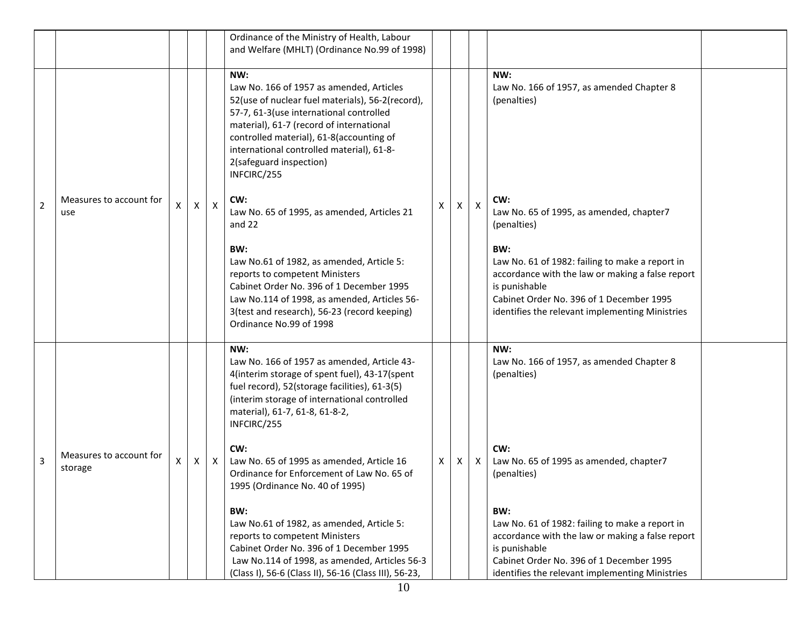|                |                                    |    |              |                           | Ordinance of the Ministry of Health, Labour<br>and Welfare (MHLT) (Ordinance No.99 of 1998)                                                                                                                                                                                                                                                                                                                                                       |   |    |              |                                                                                                                                                                                                                            |  |
|----------------|------------------------------------|----|--------------|---------------------------|---------------------------------------------------------------------------------------------------------------------------------------------------------------------------------------------------------------------------------------------------------------------------------------------------------------------------------------------------------------------------------------------------------------------------------------------------|---|----|--------------|----------------------------------------------------------------------------------------------------------------------------------------------------------------------------------------------------------------------------|--|
| $\overline{2}$ | Measures to account for<br>use     | X  | $\mathsf{x}$ | $\mathsf{X}$              | NW:<br>Law No. 166 of 1957 as amended, Articles<br>52(use of nuclear fuel materials), 56-2(record),<br>57-7, 61-3(use international controlled<br>material), 61-7 (record of international<br>controlled material), 61-8(accounting of<br>international controlled material), 61-8-<br>2(safeguard inspection)<br>INFCIRC/255<br>CW:<br>Law No. 65 of 1995, as amended, Articles 21<br>and 22<br>BW:<br>Law No.61 of 1982, as amended, Article 5: | Х | X  | $\mathsf{X}$ | NW:<br>Law No. 166 of 1957, as amended Chapter 8<br>(penalties)<br>CW:<br>Law No. 65 of 1995, as amended, chapter7<br>(penalties)<br>BW:<br>Law No. 61 of 1982: failing to make a report in                                |  |
|                |                                    |    |              |                           | reports to competent Ministers<br>Cabinet Order No. 396 of 1 December 1995<br>Law No.114 of 1998, as amended, Articles 56-<br>3(test and research), 56-23 (record keeping)<br>Ordinance No.99 of 1998                                                                                                                                                                                                                                             |   |    |              | accordance with the law or making a false report<br>is punishable<br>Cabinet Order No. 396 of 1 December 1995<br>identifies the relevant implementing Ministries                                                           |  |
|                |                                    |    |              |                           | NW:<br>Law No. 166 of 1957 as amended, Article 43-<br>4(interim storage of spent fuel), 43-17(spent<br>fuel record), 52(storage facilities), 61-3(5)<br>(interim storage of international controlled<br>material), 61-7, 61-8, 61-8-2,<br>INFCIRC/255                                                                                                                                                                                             |   |    |              | NW:<br>Law No. 166 of 1957, as amended Chapter 8<br>(penalties)                                                                                                                                                            |  |
| $\overline{3}$ | Measures to account for<br>storage | X. | X            | $\boldsymbol{\mathsf{X}}$ | CW:<br>Law No. 65 of 1995 as amended, Article 16<br>Ordinance for Enforcement of Law No. 65 of<br>1995 (Ordinance No. 40 of 1995)                                                                                                                                                                                                                                                                                                                 | X | X. | X            | CW:<br>Law No. 65 of 1995 as amended, chapter7<br>(penalties)                                                                                                                                                              |  |
|                |                                    |    |              |                           | BW:<br>Law No.61 of 1982, as amended, Article 5:<br>reports to competent Ministers<br>Cabinet Order No. 396 of 1 December 1995<br>Law No.114 of 1998, as amended, Articles 56-3<br>(Class I), 56-6 (Class II), 56-16 (Class III), 56-23,                                                                                                                                                                                                          |   |    |              | BW:<br>Law No. 61 of 1982: failing to make a report in<br>accordance with the law or making a false report<br>is punishable<br>Cabinet Order No. 396 of 1 December 1995<br>identifies the relevant implementing Ministries |  |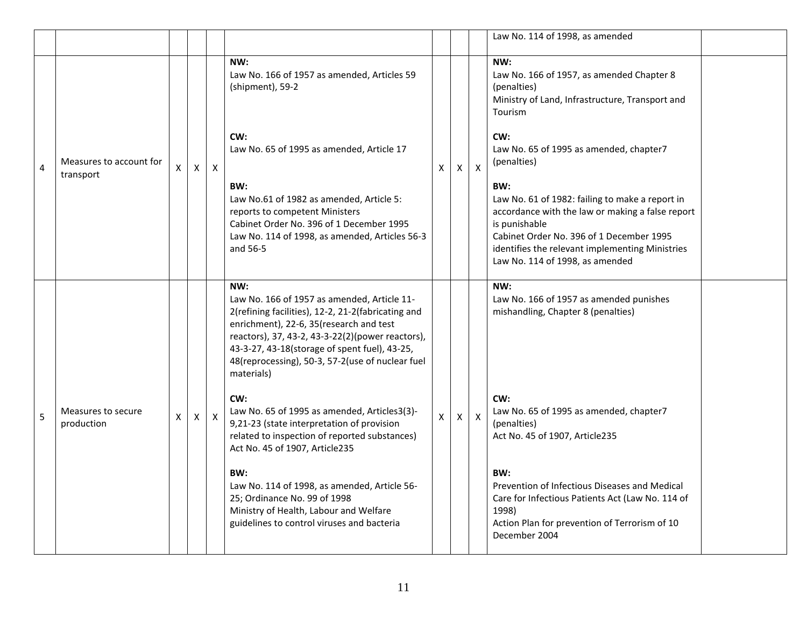|   |                                      |    |   |              |                                                                                                                                                                                                                                                                                                                             |              |                |              | Law No. 114 of 1998, as amended                                                                                                                                                                                                                               |  |
|---|--------------------------------------|----|---|--------------|-----------------------------------------------------------------------------------------------------------------------------------------------------------------------------------------------------------------------------------------------------------------------------------------------------------------------------|--------------|----------------|--------------|---------------------------------------------------------------------------------------------------------------------------------------------------------------------------------------------------------------------------------------------------------------|--|
|   |                                      |    |   |              | NW:<br>Law No. 166 of 1957 as amended, Articles 59<br>(shipment), 59-2                                                                                                                                                                                                                                                      |              |                |              | NW:<br>Law No. 166 of 1957, as amended Chapter 8<br>(penalties)<br>Ministry of Land, Infrastructure, Transport and<br>Tourism                                                                                                                                 |  |
| 4 | Measures to account for<br>transport | X. | X | $\times$     | CW:<br>Law No. 65 of 1995 as amended, Article 17                                                                                                                                                                                                                                                                            | X.           | X.             | $\mathsf{x}$ | CW:<br>Law No. 65 of 1995 as amended, chapter7<br>(penalties)                                                                                                                                                                                                 |  |
|   |                                      |    |   |              | BW:<br>Law No.61 of 1982 as amended, Article 5:<br>reports to competent Ministers<br>Cabinet Order No. 396 of 1 December 1995<br>Law No. 114 of 1998, as amended, Articles 56-3<br>and 56-5                                                                                                                                 |              |                |              | BW:<br>Law No. 61 of 1982: failing to make a report in<br>accordance with the law or making a false report<br>is punishable<br>Cabinet Order No. 396 of 1 December 1995<br>identifies the relevant implementing Ministries<br>Law No. 114 of 1998, as amended |  |
|   |                                      |    |   |              | NW:<br>Law No. 166 of 1957 as amended, Article 11-<br>2(refining facilities), 12-2, 21-2(fabricating and<br>enrichment), 22-6, 35 (research and test<br>reactors), 37, 43-2, 43-3-22(2)(power reactors),<br>43-3-27, 43-18(storage of spent fuel), 43-25,<br>48(reprocessing), 50-3, 57-2(use of nuclear fuel<br>materials) |              |                |              | NW:<br>Law No. 166 of 1957 as amended punishes<br>mishandling, Chapter 8 (penalties)                                                                                                                                                                          |  |
| 5 | Measures to secure<br>production     | X  | X | $\mathsf{X}$ | CW:<br>Law No. 65 of 1995 as amended, Articles3(3)-<br>9,21-23 (state interpretation of provision<br>related to inspection of reported substances)<br>Act No. 45 of 1907, Article235                                                                                                                                        | $\mathsf{X}$ | $\mathsf{X}^-$ | $\mathsf{x}$ | CW:<br>Law No. 65 of 1995 as amended, chapter7<br>(penalties)<br>Act No. 45 of 1907, Article235                                                                                                                                                               |  |
|   |                                      |    |   |              | BW:<br>Law No. 114 of 1998, as amended, Article 56-<br>25; Ordinance No. 99 of 1998<br>Ministry of Health, Labour and Welfare<br>guidelines to control viruses and bacteria                                                                                                                                                 |              |                |              | BW:<br>Prevention of Infectious Diseases and Medical<br>Care for Infectious Patients Act (Law No. 114 of<br>1998)<br>Action Plan for prevention of Terrorism of 10<br>December 2004                                                                           |  |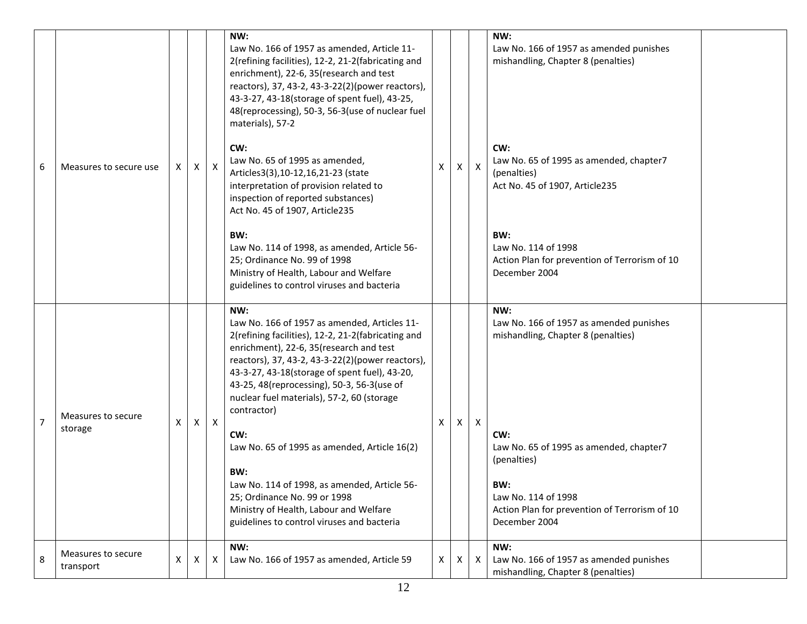| 6              | Measures to secure use          | X | X | $\boldsymbol{\mathsf{X}}$ | NW:<br>Law No. 166 of 1957 as amended, Article 11-<br>2(refining facilities), 12-2, 21-2(fabricating and<br>enrichment), 22-6, 35(research and test<br>reactors), 37, 43-2, 43-3-22(2)(power reactors),<br>43-3-27, 43-18(storage of spent fuel), 43-25,<br>48(reprocessing), 50-3, 56-3(use of nuclear fuel<br>materials), 57-2<br>CW:<br>Law No. 65 of 1995 as amended,<br>Articles3(3), 10-12, 16, 21-23 (state<br>interpretation of provision related to<br>inspection of reported substances)<br>Act No. 45 of 1907, Article235<br>BW:<br>Law No. 114 of 1998, as amended, Article 56-<br>25; Ordinance No. 99 of 1998<br>Ministry of Health, Labour and Welfare<br>guidelines to control viruses and bacteria | X. | X | $\mathsf{X}$ | NW:<br>Law No. 166 of 1957 as amended punishes<br>mishandling, Chapter 8 (penalties)<br>CW:<br>Law No. 65 of 1995 as amended, chapter7<br>(penalties)<br>Act No. 45 of 1907, Article235<br>BW:<br>Law No. 114 of 1998<br>Action Plan for prevention of Terrorism of 10<br>December 2004 |  |
|----------------|---------------------------------|---|---|---------------------------|---------------------------------------------------------------------------------------------------------------------------------------------------------------------------------------------------------------------------------------------------------------------------------------------------------------------------------------------------------------------------------------------------------------------------------------------------------------------------------------------------------------------------------------------------------------------------------------------------------------------------------------------------------------------------------------------------------------------|----|---|--------------|-----------------------------------------------------------------------------------------------------------------------------------------------------------------------------------------------------------------------------------------------------------------------------------------|--|
| $\overline{7}$ | Measures to secure<br>storage   | X | X | $\mathsf{X}$              | NW:<br>Law No. 166 of 1957 as amended, Articles 11-<br>2(refining facilities), 12-2, 21-2(fabricating and<br>enrichment), 22-6, 35(research and test<br>reactors), 37, 43-2, 43-3-22(2)(power reactors),<br>43-3-27, 43-18(storage of spent fuel), 43-20,<br>43-25, 48(reprocessing), 50-3, 56-3(use of<br>nuclear fuel materials), 57-2, 60 (storage<br>contractor)<br>CW:<br>Law No. 65 of 1995 as amended, Article 16(2)<br>BW:<br>Law No. 114 of 1998, as amended, Article 56-<br>25; Ordinance No. 99 or 1998<br>Ministry of Health, Labour and Welfare<br>guidelines to control viruses and bacteria<br>NW:                                                                                                   | X  | X | X            | NW:<br>Law No. 166 of 1957 as amended punishes<br>mishandling, Chapter 8 (penalties)<br>CW:<br>Law No. 65 of 1995 as amended, chapter7<br>(penalties)<br>BW:<br>Law No. 114 of 1998<br>Action Plan for prevention of Terrorism of 10<br>December 2004<br>NW:                            |  |
| 8              | Measures to secure<br>transport | Χ |   | X                         | Law No. 166 of 1957 as amended, Article 59                                                                                                                                                                                                                                                                                                                                                                                                                                                                                                                                                                                                                                                                          | X  | X | X            | Law No. 166 of 1957 as amended punishes<br>mishandling, Chapter 8 (penalties)                                                                                                                                                                                                           |  |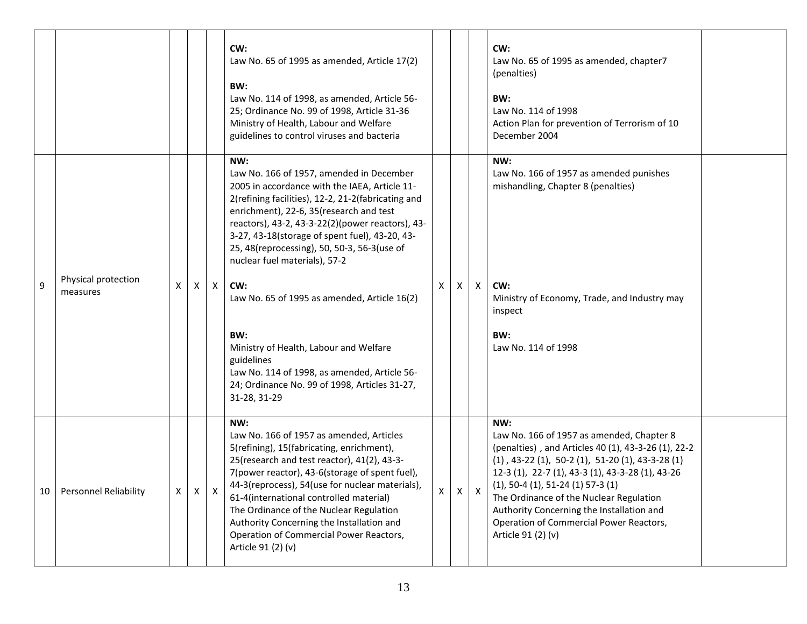|    |                                 |   |          |              | CW:<br>Law No. 65 of 1995 as amended, Article 17(2)<br>BW:<br>Law No. 114 of 1998, as amended, Article 56-<br>25; Ordinance No. 99 of 1998, Article 31-36<br>Ministry of Health, Labour and Welfare<br>guidelines to control viruses and bacteria                                                                                                                                                                                                                                                                                                                                                                               |          |   |              | CW:<br>Law No. 65 of 1995 as amended, chapter7<br>(penalties)<br>BW:<br>Law No. 114 of 1998<br>Action Plan for prevention of Terrorism of 10<br>December 2004                                                                                                                                                                                                                                                                 |
|----|---------------------------------|---|----------|--------------|---------------------------------------------------------------------------------------------------------------------------------------------------------------------------------------------------------------------------------------------------------------------------------------------------------------------------------------------------------------------------------------------------------------------------------------------------------------------------------------------------------------------------------------------------------------------------------------------------------------------------------|----------|---|--------------|-------------------------------------------------------------------------------------------------------------------------------------------------------------------------------------------------------------------------------------------------------------------------------------------------------------------------------------------------------------------------------------------------------------------------------|
| 9  | Physical protection<br>measures | X | $\times$ | $\mathsf{X}$ | NW:<br>Law No. 166 of 1957, amended in December<br>2005 in accordance with the IAEA, Article 11-<br>2(refining facilities), 12-2, 21-2(fabricating and<br>enrichment), 22-6, 35 (research and test<br>reactors), 43-2, 43-3-22(2)(power reactors), 43-<br>3-27, 43-18(storage of spent fuel), 43-20, 43-<br>25, 48(reprocessing), 50, 50-3, 56-3(use of<br>nuclear fuel materials), 57-2<br>CW:<br>Law No. 65 of 1995 as amended, Article 16(2)<br>BW:<br>Ministry of Health, Labour and Welfare<br>guidelines<br>Law No. 114 of 1998, as amended, Article 56-<br>24; Ordinance No. 99 of 1998, Articles 31-27,<br>31-28, 31-29 | X        | X | $\mathsf{X}$ | NW:<br>Law No. 166 of 1957 as amended punishes<br>mishandling, Chapter 8 (penalties)<br>CW:<br>Ministry of Economy, Trade, and Industry may<br>inspect<br>BW:<br>Law No. 114 of 1998                                                                                                                                                                                                                                          |
| 10 | <b>Personnel Reliability</b>    | X | X        | X            | NW:<br>Law No. 166 of 1957 as amended, Articles<br>5(refining), 15(fabricating, enrichment),<br>25(research and test reactor), 41(2), 43-3-<br>7(power reactor), 43-6(storage of spent fuel),<br>44-3(reprocess), 54(use for nuclear materials),<br>61-4(international controlled material)<br>The Ordinance of the Nuclear Regulation<br>Authority Concerning the Installation and<br>Operation of Commercial Power Reactors,<br>Article 91 (2) (v)                                                                                                                                                                            | $\times$ | X | X            | NW:<br>Law No. 166 of 1957 as amended, Chapter 8<br>(penalties), and Articles 40 (1), 43-3-26 (1), 22-2<br>$(1)$ , 43-22 $(1)$ , 50-2 $(1)$ , 51-20 $(1)$ , 43-3-28 $(1)$<br>12-3 (1), 22-7 (1), 43-3 (1), 43-3-28 (1), 43-26<br>$(1), 50-4 (1), 51-24 (1) 57-3 (1)$<br>The Ordinance of the Nuclear Regulation<br>Authority Concerning the Installation and<br>Operation of Commercial Power Reactors,<br>Article 91 (2) (v) |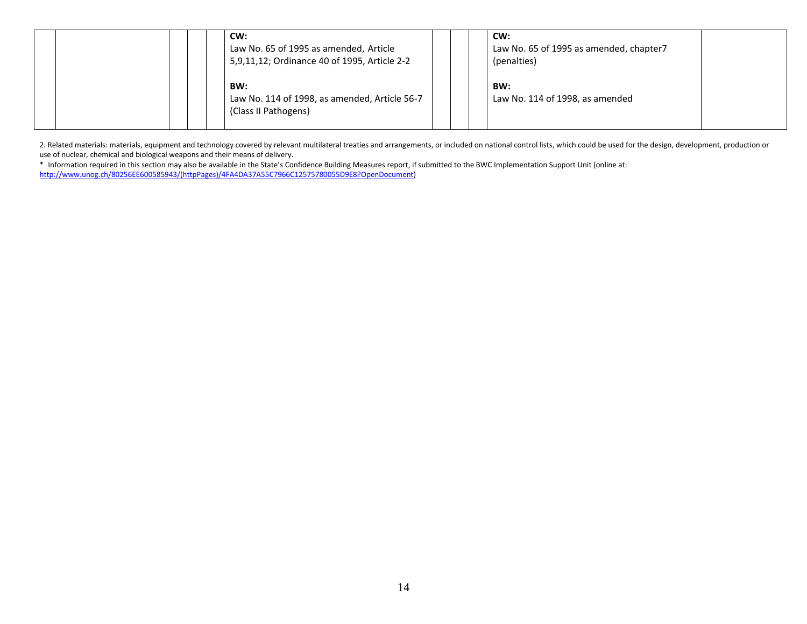|  |  | CW:<br>Law No. 65 of 1995 as amended, Article<br>5,9,11,12; Ordinance 40 of 1995, Article 2-2 |  | CW:<br>Law No. 65 of 1995 as amended, chapter7<br>(penalties) |  |
|--|--|-----------------------------------------------------------------------------------------------|--|---------------------------------------------------------------|--|
|  |  | BW:<br>Law No. 114 of 1998, as amended, Article 56-7<br>(Class II Pathogens)                  |  | BW:<br>Law No. 114 of 1998, as amended                        |  |

2. Related materials: materials, equipment and technology covered by relevant multilateral treaties and arrangements, or included on national control lists, which could be used for the design, development, production or use of nuclear, chemical and biological weapons and their means of delivery.

\* Information required in this section may also be available in the State's Confidence Building Measures report, if submitted to the BWC Implementation Support Unit (online at: [http://www.unog.ch/80256EE600585943/\(httpPages\)/4FA4DA37A55C7966C12575780055D9E8?OpenDocument\)](http://www.unog.ch/80256EE600585943/(httpPages)/4FA4DA37A55C7966C12575780055D9E8?OpenDocument)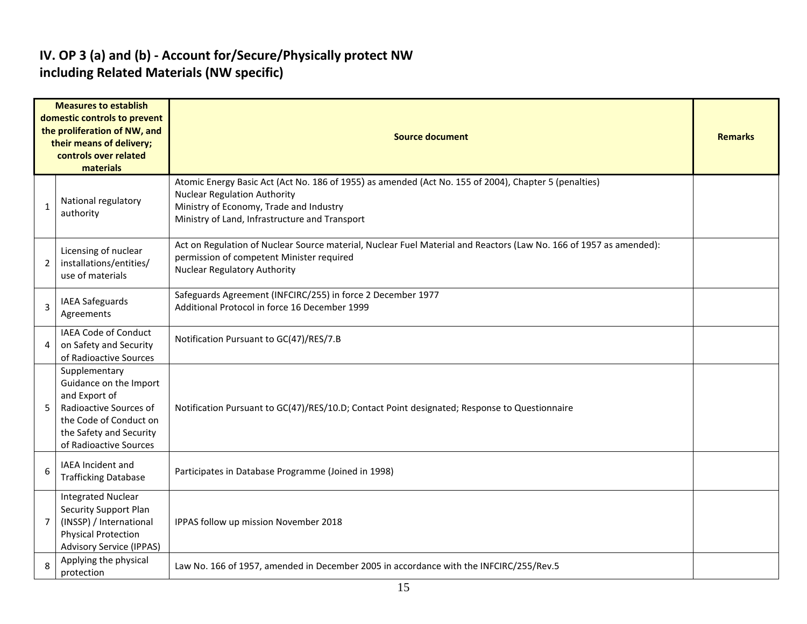#### **IV. OP 3 (a) and (b) - Account for/Secure/Physically protect NW including Related Materials (NW specific)**

|                         | <b>Measures to establish</b><br>domestic controls to prevent<br>the proliferation of NW, and<br>their means of delivery;<br>controls over related<br>materials    | <b>Source document</b>                                                                                                                                                                                                                    |  |  |  |  |  |  |  |
|-------------------------|-------------------------------------------------------------------------------------------------------------------------------------------------------------------|-------------------------------------------------------------------------------------------------------------------------------------------------------------------------------------------------------------------------------------------|--|--|--|--|--|--|--|
| 1                       | National regulatory<br>authority                                                                                                                                  | Atomic Energy Basic Act (Act No. 186 of 1955) as amended (Act No. 155 of 2004), Chapter 5 (penalties)<br><b>Nuclear Regulation Authority</b><br>Ministry of Economy, Trade and Industry<br>Ministry of Land, Infrastructure and Transport |  |  |  |  |  |  |  |
| 2                       | Licensing of nuclear<br>installations/entities/<br>use of materials                                                                                               | Act on Regulation of Nuclear Source material, Nuclear Fuel Material and Reactors (Law No. 166 of 1957 as amended):<br>permission of competent Minister required<br><b>Nuclear Regulatory Authority</b>                                    |  |  |  |  |  |  |  |
| 3                       | <b>IAEA Safeguards</b><br>Agreements                                                                                                                              | Safeguards Agreement (INFCIRC/255) in force 2 December 1977<br>Additional Protocol in force 16 December 1999                                                                                                                              |  |  |  |  |  |  |  |
| 4                       | IAEA Code of Conduct<br>on Safety and Security<br>of Radioactive Sources                                                                                          | Notification Pursuant to GC(47)/RES/7.B                                                                                                                                                                                                   |  |  |  |  |  |  |  |
| 5                       | Supplementary<br>Guidance on the Import<br>and Export of<br>Radioactive Sources of<br>the Code of Conduct on<br>the Safety and Security<br>of Radioactive Sources | Notification Pursuant to GC(47)/RES/10.D; Contact Point designated; Response to Questionnaire                                                                                                                                             |  |  |  |  |  |  |  |
| 6                       | IAEA Incident and<br><b>Trafficking Database</b>                                                                                                                  | Participates in Database Programme (Joined in 1998)                                                                                                                                                                                       |  |  |  |  |  |  |  |
| $\overline{7}$          | <b>Integrated Nuclear</b><br><b>Security Support Plan</b><br>(INSSP) / International<br><b>Physical Protection</b><br><b>Advisory Service (IPPAS)</b>             | IPPAS follow up mission November 2018                                                                                                                                                                                                     |  |  |  |  |  |  |  |
| $\mathsf{\overline{8}}$ | Applying the physical<br>protection                                                                                                                               | Law No. 166 of 1957, amended in December 2005 in accordance with the INFCIRC/255/Rev.5                                                                                                                                                    |  |  |  |  |  |  |  |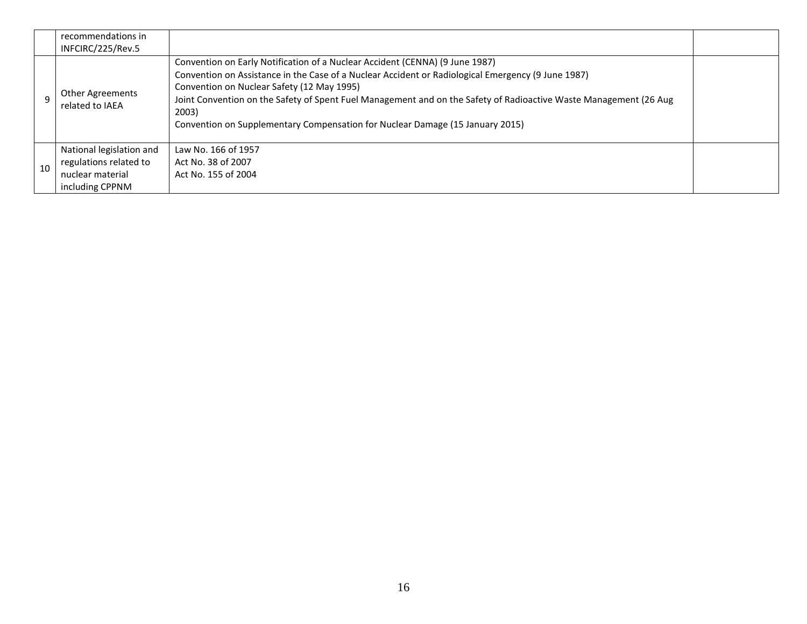|    | recommendations in<br>INFCIRC/225/Rev.5                                                   |                                                                                                                                                                                                                                                                                                                                                                                                                                                 |  |
|----|-------------------------------------------------------------------------------------------|-------------------------------------------------------------------------------------------------------------------------------------------------------------------------------------------------------------------------------------------------------------------------------------------------------------------------------------------------------------------------------------------------------------------------------------------------|--|
|    | <b>Other Agreements</b><br>related to IAEA                                                | Convention on Early Notification of a Nuclear Accident (CENNA) (9 June 1987)<br>Convention on Assistance in the Case of a Nuclear Accident or Radiological Emergency (9 June 1987)<br>Convention on Nuclear Safety (12 May 1995)<br>Joint Convention on the Safety of Spent Fuel Management and on the Safety of Radioactive Waste Management (26 Aug<br>2003)<br>Convention on Supplementary Compensation for Nuclear Damage (15 January 2015) |  |
| 10 | National legislation and<br>regulations related to<br>nuclear material<br>including CPPNM | Law No. 166 of 1957<br>Act No. 38 of 2007<br>Act No. 155 of 2004                                                                                                                                                                                                                                                                                                                                                                                |  |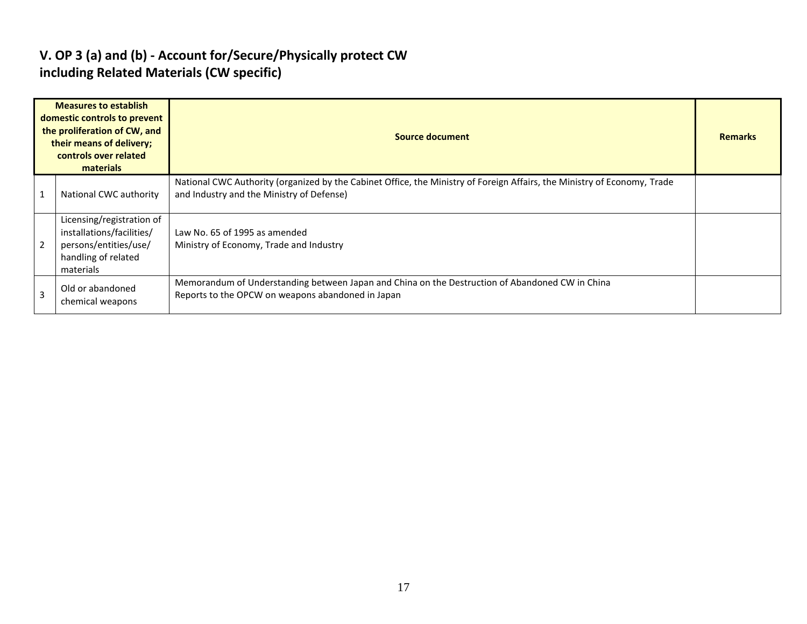#### **V. OP 3 (a) and (b) - Account for/Secure/Physically protect CW including Related Materials (CW specific)**

|                | <b>Measures to establish</b><br>domestic controls to prevent<br>the proliferation of CW, and<br>their means of delivery;<br>controls over related<br>materials | <b>Source document</b>                                                                                                                                                |  |  |  |  |  |
|----------------|----------------------------------------------------------------------------------------------------------------------------------------------------------------|-----------------------------------------------------------------------------------------------------------------------------------------------------------------------|--|--|--|--|--|
| $\overline{1}$ | National CWC authority                                                                                                                                         | National CWC Authority (organized by the Cabinet Office, the Ministry of Foreign Affairs, the Ministry of Economy, Trade<br>and Industry and the Ministry of Defense) |  |  |  |  |  |
| $\overline{2}$ | Licensing/registration of<br>installations/facilities/<br>persons/entities/use/<br>handling of related<br>materials                                            | Law No. 65 of 1995 as amended<br>Ministry of Economy, Trade and Industry                                                                                              |  |  |  |  |  |
| $\overline{3}$ | Old or abandoned<br>chemical weapons                                                                                                                           | Memorandum of Understanding between Japan and China on the Destruction of Abandoned CW in China<br>Reports to the OPCW on weapons abandoned in Japan                  |  |  |  |  |  |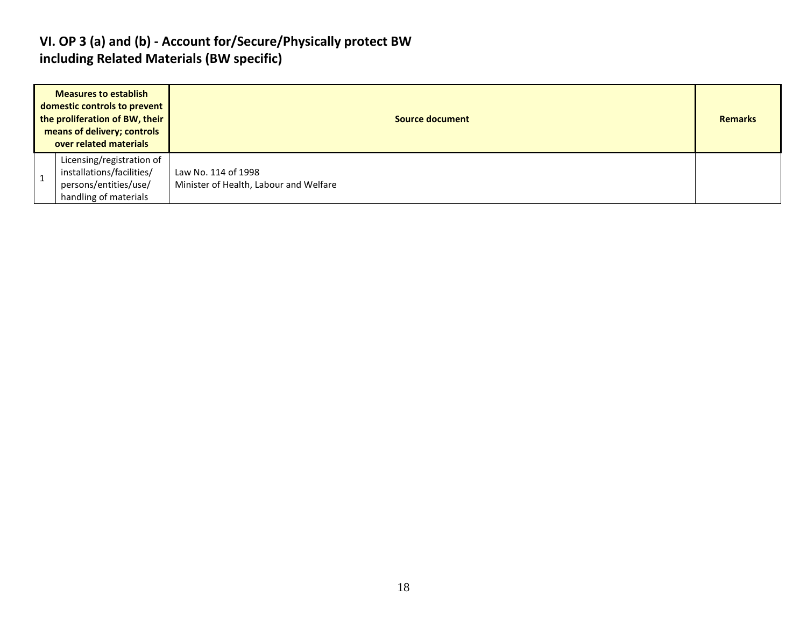#### **VI. OP 3 (a) and (b) - Account for/Secure/Physically protect BW including Related Materials (BW specific)**

| <b>Measures to establish</b><br>domestic controls to prevent<br>the proliferation of BW, their<br>means of delivery; controls<br>over related materials | Source document                                               |  |  |  |  |  |  |
|---------------------------------------------------------------------------------------------------------------------------------------------------------|---------------------------------------------------------------|--|--|--|--|--|--|
| Licensing/registration of<br>installations/facilities/<br>persons/entities/use/<br>handling of materials                                                | Law No. 114 of 1998<br>Minister of Health, Labour and Welfare |  |  |  |  |  |  |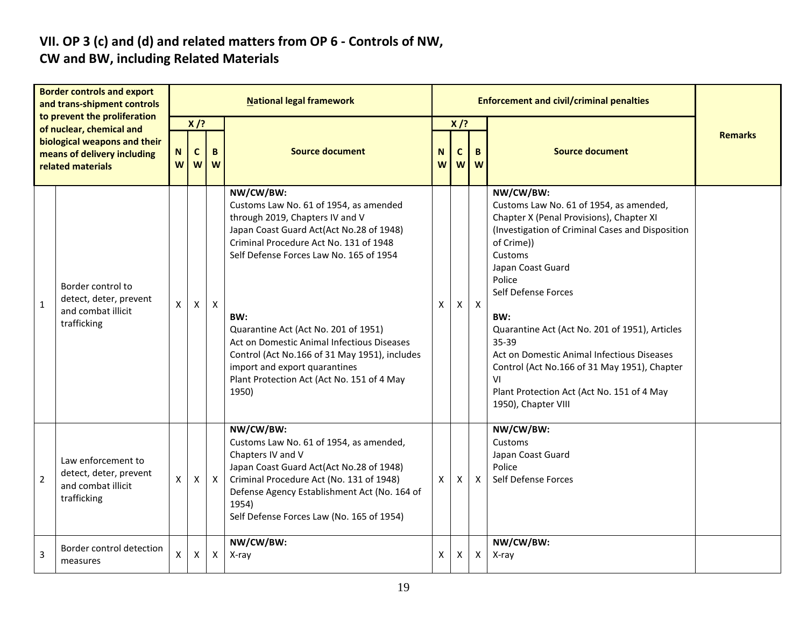# **VII. OP 3 (c) and (d) and related matters from OP 6 - Controls of NW,**

### **CW and BW, including Related Materials**

| <b>Border controls and export</b><br>and trans-shipment controls<br>to prevent the proliferation<br>of nuclear, chemical and<br>biological weapons and their<br>means of delivery including<br>related materials |                                                                                   | <b>National legal framework</b> |                                       |              |                                                                                                                                                                                                                                                                                                                                                                                                                                                               |        |                  | <b>Enforcement and civil/criminal penalties</b> |                                                                                                                                                                                                                                                                                                                                                                                                                                                                                |                |
|------------------------------------------------------------------------------------------------------------------------------------------------------------------------------------------------------------------|-----------------------------------------------------------------------------------|---------------------------------|---------------------------------------|--------------|---------------------------------------------------------------------------------------------------------------------------------------------------------------------------------------------------------------------------------------------------------------------------------------------------------------------------------------------------------------------------------------------------------------------------------------------------------------|--------|------------------|-------------------------------------------------|--------------------------------------------------------------------------------------------------------------------------------------------------------------------------------------------------------------------------------------------------------------------------------------------------------------------------------------------------------------------------------------------------------------------------------------------------------------------------------|----------------|
|                                                                                                                                                                                                                  |                                                                                   | N<br>W                          | $X$ /?<br>$\mathsf{C}$<br>B<br>W<br>W |              | <b>Source document</b>                                                                                                                                                                                                                                                                                                                                                                                                                                        | N<br>W | $X$ /?<br>C<br>W | B.<br>W                                         | <b>Source document</b>                                                                                                                                                                                                                                                                                                                                                                                                                                                         | <b>Remarks</b> |
| $\mathbf{1}$                                                                                                                                                                                                     | Border control to<br>detect, deter, prevent<br>and combat illicit<br>trafficking  | X                               | $\mathsf{X}$                          | $\mathsf{X}$ | NW/CW/BW:<br>Customs Law No. 61 of 1954, as amended<br>through 2019, Chapters IV and V<br>Japan Coast Guard Act(Act No.28 of 1948)<br>Criminal Procedure Act No. 131 of 1948<br>Self Defense Forces Law No. 165 of 1954<br>BW:<br>Quarantine Act (Act No. 201 of 1951)<br>Act on Domestic Animal Infectious Diseases<br>Control (Act No.166 of 31 May 1951), includes<br>import and export quarantines<br>Plant Protection Act (Act No. 151 of 4 May<br>1950) | X      | $\mathsf{X}$     | $\mathsf{X}$                                    | NW/CW/BW:<br>Customs Law No. 61 of 1954, as amended,<br>Chapter X (Penal Provisions), Chapter XI<br>(Investigation of Criminal Cases and Disposition<br>of Crime))<br>Customs<br>Japan Coast Guard<br>Police<br>Self Defense Forces<br>BW:<br>Quarantine Act (Act No. 201 of 1951), Articles<br>35-39<br>Act on Domestic Animal Infectious Diseases<br>Control (Act No.166 of 31 May 1951), Chapter<br>٧I<br>Plant Protection Act (Act No. 151 of 4 May<br>1950), Chapter VIII |                |
| $\overline{2}$                                                                                                                                                                                                   | Law enforcement to<br>detect, deter, prevent<br>and combat illicit<br>trafficking | X                               | X                                     | $\mathsf{X}$ | NW/CW/BW:<br>Customs Law No. 61 of 1954, as amended,<br>Chapters IV and V<br>Japan Coast Guard Act(Act No.28 of 1948)<br>Criminal Procedure Act (No. 131 of 1948)<br>Defense Agency Establishment Act (No. 164 of<br>1954)<br>Self Defense Forces Law (No. 165 of 1954)                                                                                                                                                                                       | X      | X                | $\mathsf{x}$                                    | NW/CW/BW:<br><b>Customs</b><br>Japan Coast Guard<br>Police<br>Self Defense Forces                                                                                                                                                                                                                                                                                                                                                                                              |                |
| 3                                                                                                                                                                                                                | Border control detection<br>measures                                              | X                               | X                                     | X            | NW/CW/BW:<br>X-ray                                                                                                                                                                                                                                                                                                                                                                                                                                            | X      | X                | $\mathsf{X}$                                    | NW/CW/BW:<br>X-ray                                                                                                                                                                                                                                                                                                                                                                                                                                                             |                |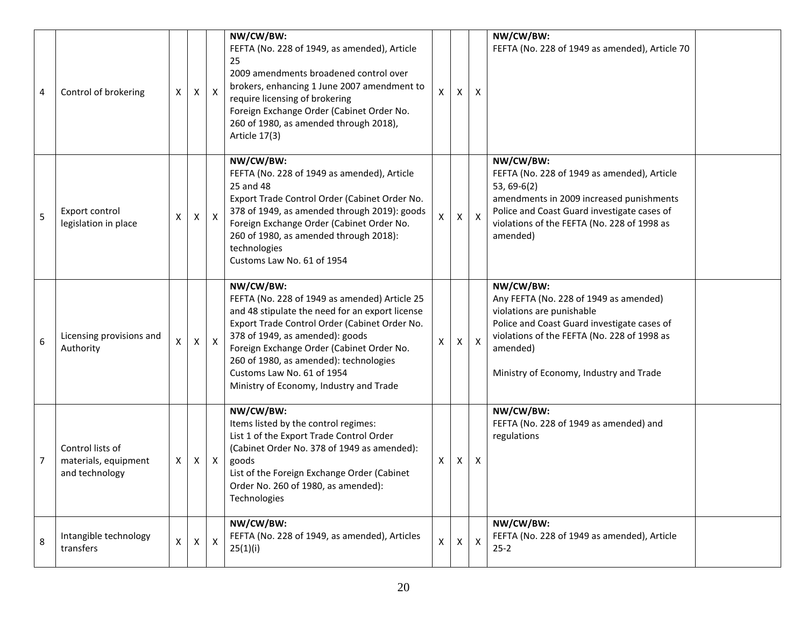| 4 | Control of brokering                                       | х                  | X              | $\mathsf{X}$     | NW/CW/BW:<br>FEFTA (No. 228 of 1949, as amended), Article<br>25<br>2009 amendments broadened control over<br>brokers, enhancing 1 June 2007 amendment to<br>require licensing of brokering<br>Foreign Exchange Order (Cabinet Order No.<br>260 of 1980, as amended through 2018),<br>Article 17(3)                                                                | x  | X            | X                         | NW/CW/BW:<br>FEFTA (No. 228 of 1949 as amended), Article 70                                                                                                                                                                           |  |
|---|------------------------------------------------------------|--------------------|----------------|------------------|-------------------------------------------------------------------------------------------------------------------------------------------------------------------------------------------------------------------------------------------------------------------------------------------------------------------------------------------------------------------|----|--------------|---------------------------|---------------------------------------------------------------------------------------------------------------------------------------------------------------------------------------------------------------------------------------|--|
| 5 | Export control<br>legislation in place                     | х                  | $\mathsf{X}$   | $\mathsf{X}$     | NW/CW/BW:<br>FEFTA (No. 228 of 1949 as amended), Article<br>25 and 48<br>Export Trade Control Order (Cabinet Order No.<br>378 of 1949, as amended through 2019): goods<br>Foreign Exchange Order (Cabinet Order No.<br>260 of 1980, as amended through 2018):<br>technologies<br>Customs Law No. 61 of 1954                                                       | X. | X            | $\mathsf{X}$              | NW/CW/BW:<br>FEFTA (No. 228 of 1949 as amended), Article<br>$53, 69-6(2)$<br>amendments in 2009 increased punishments<br>Police and Coast Guard investigate cases of<br>violations of the FEFTA (No. 228 of 1998 as<br>amended)       |  |
| 6 | Licensing provisions and<br>Authority                      | X                  | $\pmb{\times}$ | $\mathsf{X}$     | NW/CW/BW:<br>FEFTA (No. 228 of 1949 as amended) Article 25<br>and 48 stipulate the need for an export license<br>Export Trade Control Order (Cabinet Order No.<br>378 of 1949, as amended): goods<br>Foreign Exchange Order (Cabinet Order No.<br>260 of 1980, as amended): technologies<br>Customs Law No. 61 of 1954<br>Ministry of Economy, Industry and Trade | X  |              | $\boldsymbol{\mathsf{X}}$ | NW/CW/BW:<br>Any FEFTA (No. 228 of 1949 as amended)<br>violations are punishable<br>Police and Coast Guard investigate cases of<br>violations of the FEFTA (No. 228 of 1998 as<br>amended)<br>Ministry of Economy, Industry and Trade |  |
| 7 | Control lists of<br>materials, equipment<br>and technology | X                  | X              | $\mathsf{X}$     | NW/CW/BW:<br>Items listed by the control regimes:<br>List 1 of the Export Trade Control Order<br>(Cabinet Order No. 378 of 1949 as amended):<br>goods<br>List of the Foreign Exchange Order (Cabinet<br>Order No. 260 of 1980, as amended):<br>Technologies                                                                                                       | X  | X            | X                         | NW/CW/BW:<br>FEFTA (No. 228 of 1949 as amended) and<br>regulations                                                                                                                                                                    |  |
| 8 | Intangible technology<br>transfers                         | $\pmb{\mathsf{X}}$ | $\mathsf{X}$   | $\boldsymbol{X}$ | NW/CW/BW:<br>FEFTA (No. 228 of 1949, as amended), Articles<br>25(1)(i)                                                                                                                                                                                                                                                                                            | X. | $\mathsf{x}$ | $\mathsf{X}$              | NW/CW/BW:<br>FEFTA (No. 228 of 1949 as amended), Article<br>$25 - 2$                                                                                                                                                                  |  |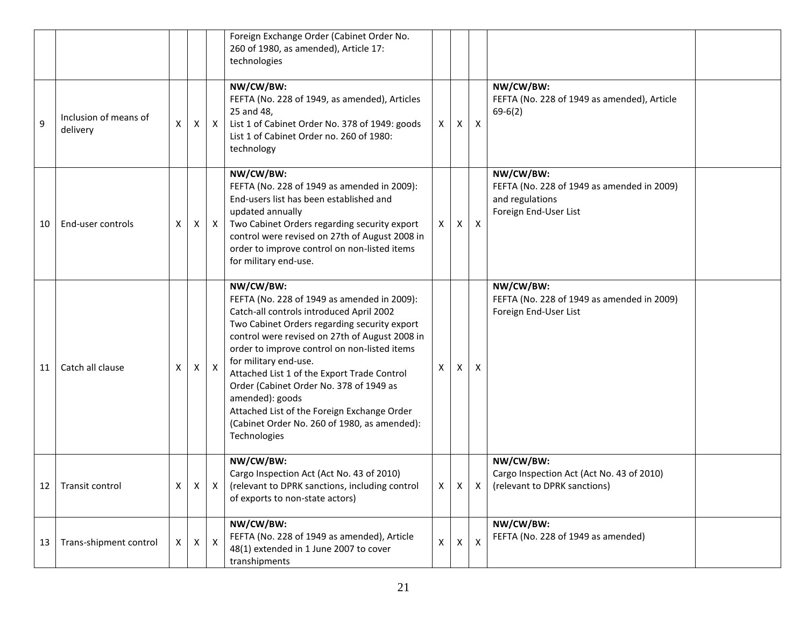|    |                                   |                |              |              | Foreign Exchange Order (Cabinet Order No.<br>260 of 1980, as amended), Article 17:<br>technologies                                                                                                                                                                                                                                                                                                                                                                                                          |              |              |                           |                                                                                                          |  |
|----|-----------------------------------|----------------|--------------|--------------|-------------------------------------------------------------------------------------------------------------------------------------------------------------------------------------------------------------------------------------------------------------------------------------------------------------------------------------------------------------------------------------------------------------------------------------------------------------------------------------------------------------|--------------|--------------|---------------------------|----------------------------------------------------------------------------------------------------------|--|
| 9  | Inclusion of means of<br>delivery | X              | X            | $\mathsf{X}$ | NW/CW/BW:<br>FEFTA (No. 228 of 1949, as amended), Articles<br>25 and 48,<br>List 1 of Cabinet Order No. 378 of 1949: goods<br>List 1 of Cabinet Order no. 260 of 1980:<br>technology                                                                                                                                                                                                                                                                                                                        | X.           | Χ            | X                         | NW/CW/BW:<br>FEFTA (No. 228 of 1949 as amended), Article<br>$69-6(2)$                                    |  |
| 10 | End-user controls                 | X              | X            | X            | NW/CW/BW:<br>FEFTA (No. 228 of 1949 as amended in 2009):<br>End-users list has been established and<br>updated annually<br>Two Cabinet Orders regarding security export<br>control were revised on 27th of August 2008 in<br>order to improve control on non-listed items<br>for military end-use.                                                                                                                                                                                                          | X            | X            | $\times$                  | NW/CW/BW:<br>FEFTA (No. 228 of 1949 as amended in 2009)<br>and regulations<br>Foreign End-User List      |  |
| 11 | Catch all clause                  | X              | Χ            | Χ            | NW/CW/BW:<br>FEFTA (No. 228 of 1949 as amended in 2009):<br>Catch-all controls introduced April 2002<br>Two Cabinet Orders regarding security export<br>control were revised on 27th of August 2008 in<br>order to improve control on non-listed items<br>for military end-use.<br>Attached List 1 of the Export Trade Control<br>Order (Cabinet Order No. 378 of 1949 as<br>amended): goods<br>Attached List of the Foreign Exchange Order<br>(Cabinet Order No. 260 of 1980, as amended):<br>Technologies | X            | X.           | X                         | NW/CW/BW:<br>FEFTA (No. 228 of 1949 as amended in 2009)<br>Foreign End-User List                         |  |
|    | 12 Transit control                | $\mathsf{X}^-$ |              | $X \mid X$   | NW/CW/BW:<br>Cargo Inspection Act (Act No. 43 of 2010)<br>(relevant to DPRK sanctions, including control<br>of exports to non-state actors)                                                                                                                                                                                                                                                                                                                                                                 |              |              |                           | NW/CW/BW:<br>Cargo Inspection Act (Act No. 43 of 2010)<br>$X \mid X \mid X$ (relevant to DPRK sanctions) |  |
| 13 | Trans-shipment control            | $\mathsf{X}$   | $\mathsf{X}$ | $\mathsf{X}$ | NW/CW/BW:<br>FEFTA (No. 228 of 1949 as amended), Article<br>48(1) extended in 1 June 2007 to cover<br>transhipments                                                                                                                                                                                                                                                                                                                                                                                         | $\mathsf{X}$ | $\mathsf{X}$ | $\boldsymbol{\mathsf{x}}$ | NW/CW/BW:<br>FEFTA (No. 228 of 1949 as amended)                                                          |  |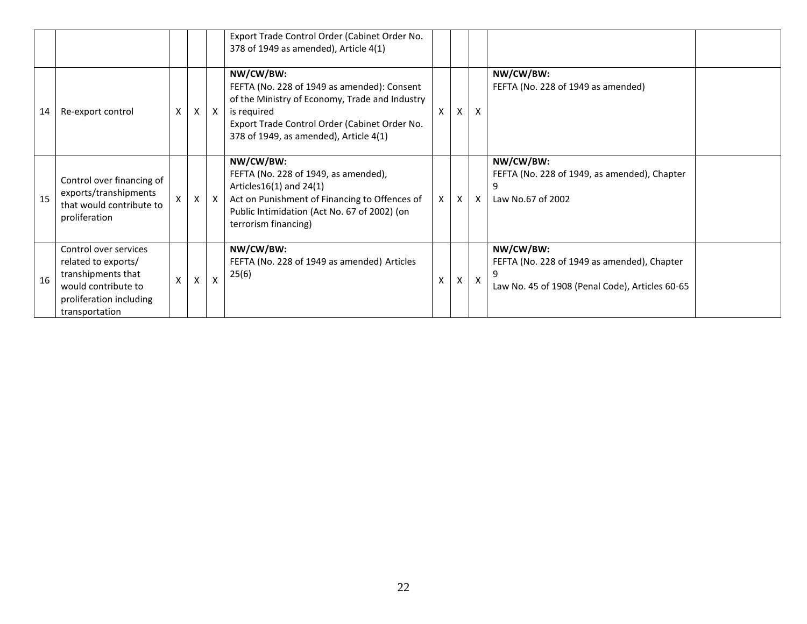|    |                                                                                                                                        |   |   |              | Export Trade Control Order (Cabinet Order No.<br>378 of 1949 as amended), Article 4(1)                                                                                                                               |   |   |                           |                                                                                                             |
|----|----------------------------------------------------------------------------------------------------------------------------------------|---|---|--------------|----------------------------------------------------------------------------------------------------------------------------------------------------------------------------------------------------------------------|---|---|---------------------------|-------------------------------------------------------------------------------------------------------------|
| 14 | Re-export control                                                                                                                      | X | X | X            | NW/CW/BW:<br>FEFTA (No. 228 of 1949 as amended): Consent<br>of the Ministry of Economy, Trade and Industry<br>is required<br>Export Trade Control Order (Cabinet Order No.<br>378 of 1949, as amended), Article 4(1) | x | X | $\boldsymbol{\mathsf{x}}$ | NW/CW/BW:<br>FEFTA (No. 228 of 1949 as amended)                                                             |
| 15 | Control over financing of<br>exports/transhipments<br>that would contribute to<br>proliferation                                        | X | X | $\mathsf{X}$ | NW/CW/BW:<br>FEFTA (No. 228 of 1949, as amended),<br>Articles $16(1)$ and $24(1)$<br>Act on Punishment of Financing to Offences of<br>Public Intimidation (Act No. 67 of 2002) (on<br>terrorism financing)           | X | X | $\boldsymbol{\mathsf{X}}$ | NW/CW/BW:<br>FEFTA (No. 228 of 1949, as amended), Chapter<br>Law No.67 of 2002                              |
| 16 | Control over services<br>related to exports/<br>transhipments that<br>would contribute to<br>proliferation including<br>transportation | X | X | $\mathsf{x}$ | NW/CW/BW:<br>FEFTA (No. 228 of 1949 as amended) Articles<br>25(6)                                                                                                                                                    | X | X | X                         | NW/CW/BW:<br>FEFTA (No. 228 of 1949 as amended), Chapter<br>Law No. 45 of 1908 (Penal Code), Articles 60-65 |